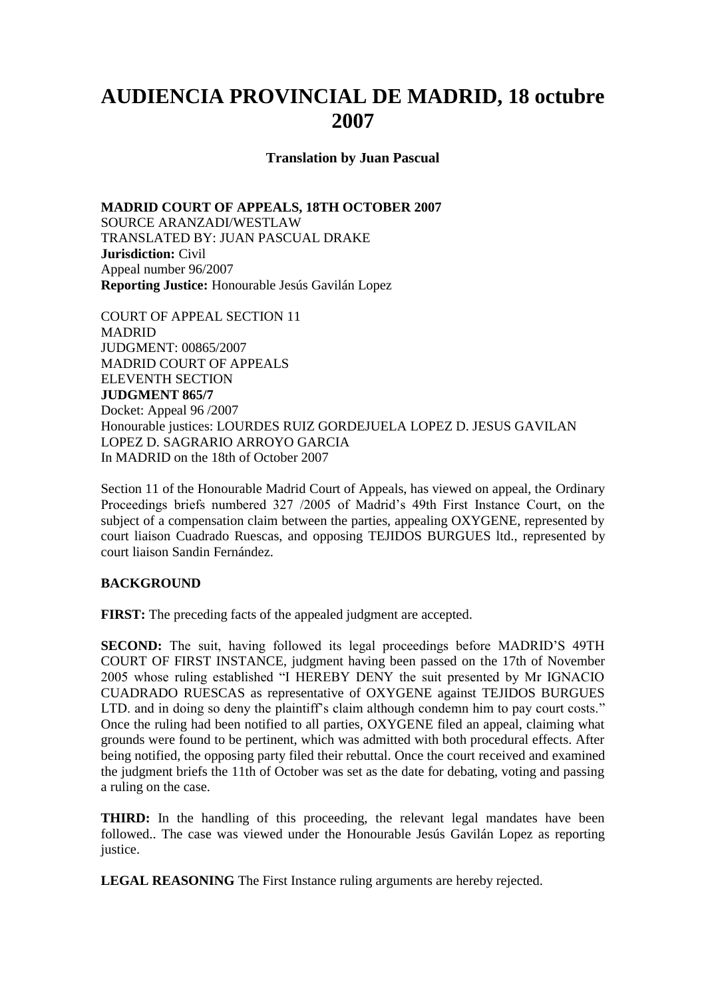## **AUDIENCIA PROVINCIAL DE MADRID, 18 octubre 2007**

**Translation by Juan Pascual** 

**MADRID COURT OF APPEALS, 18TH OCTOBER 2007** SOURCE ARANZADI/WESTLAW TRANSLATED BY: JUAN PASCUAL DRAKE **Jurisdiction:** Civil Appeal number 96/2007 **Reporting Justice:** Honourable Jesús Gavilán Lopez

COURT OF APPEAL SECTION 11 MADRID JUDGMENT: 00865/2007 MADRID COURT OF APPEALS ELEVENTH SECTION **JUDGMENT 865/7** Docket: Appeal 96 /2007 Honourable justices: LOURDES RUIZ GORDEJUELA LOPEZ D. JESUS GAVILAN LOPEZ D. SAGRARIO ARROYO GARCIA In MADRID on the 18th of October 2007

Section 11 of the Honourable Madrid Court of Appeals, has viewed on appeal, the Ordinary Proceedings briefs numbered 327 /2005 of Madrid's 49th First Instance Court, on the subject of a compensation claim between the parties, appealing OXYGENE, represented by court liaison Cuadrado Ruescas, and opposing TEJIDOS BURGUES ltd., represented by court liaison Sandin Fernández.

## **BACKGROUND**

**FIRST:** The preceding facts of the appealed judgment are accepted.

**SECOND:** The suit, having followed its legal proceedings before MADRID'S 49TH COURT OF FIRST INSTANCE, judgment having been passed on the 17th of November 2005 whose ruling established "I HEREBY DENY the suit presented by Mr IGNACIO CUADRADO RUESCAS as representative of OXYGENE against TEJIDOS BURGUES LTD, and in doing so deny the plaintiff's claim although condemn him to pay court costs." Once the ruling had been notified to all parties, OXYGENE filed an appeal, claiming what grounds were found to be pertinent, which was admitted with both procedural effects. After being notified, the opposing party filed their rebuttal. Once the court received and examined the judgment briefs the 11th of October was set as the date for debating, voting and passing a ruling on the case.

**THIRD:** In the handling of this proceeding, the relevant legal mandates have been followed.. The case was viewed under the Honourable Jesús Gavilán Lopez as reporting justice.

**LEGAL REASONING** The First Instance ruling arguments are hereby rejected.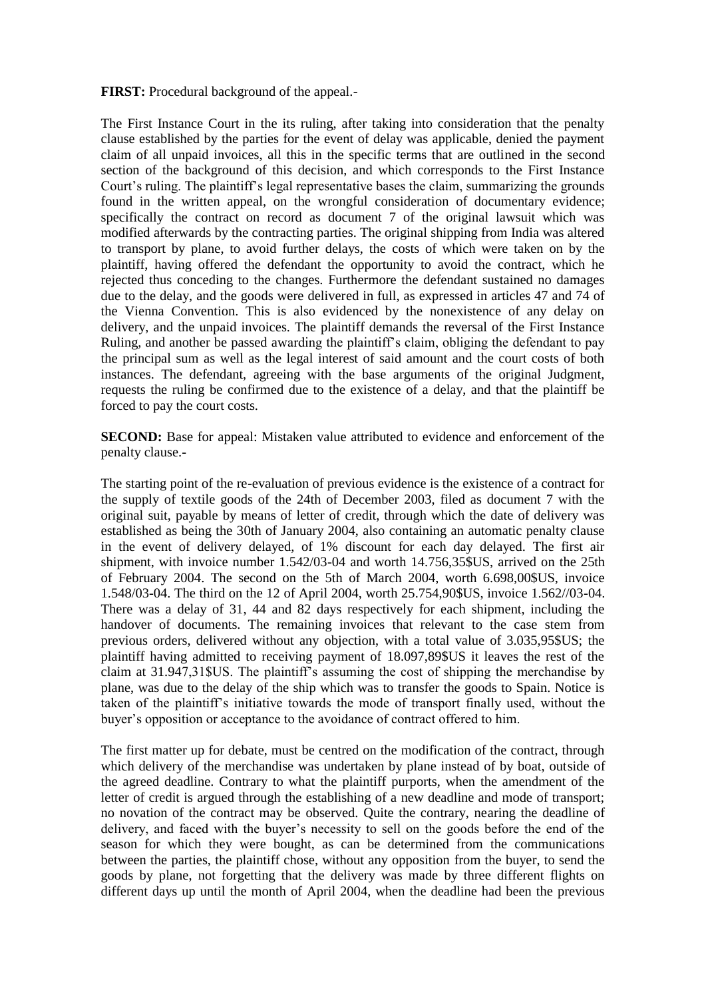**FIRST:** Procedural background of the appeal.-

The First Instance Court in the its ruling, after taking into consideration that the penalty clause established by the parties for the event of delay was applicable, denied the payment claim of all unpaid invoices, all this in the specific terms that are outlined in the second section of the background of this decision, and which corresponds to the First Instance Court's ruling. The plaintiff's legal representative bases the claim, summarizing the grounds found in the written appeal, on the wrongful consideration of documentary evidence; specifically the contract on record as document 7 of the original lawsuit which was modified afterwards by the contracting parties. The original shipping from India was altered to transport by plane, to avoid further delays, the costs of which were taken on by the plaintiff, having offered the defendant the opportunity to avoid the contract, which he rejected thus conceding to the changes. Furthermore the defendant sustained no damages due to the delay, and the goods were delivered in full, as expressed in articles 47 and 74 of the Vienna Convention. This is also evidenced by the nonexistence of any delay on delivery, and the unpaid invoices. The plaintiff demands the reversal of the First Instance Ruling, and another be passed awarding the plaintiff's claim, obliging the defendant to pay the principal sum as well as the legal interest of said amount and the court costs of both instances. The defendant, agreeing with the base arguments of the original Judgment, requests the ruling be confirmed due to the existence of a delay, and that the plaintiff be forced to pay the court costs.

**SECOND:** Base for appeal: Mistaken value attributed to evidence and enforcement of the penalty clause.-

The starting point of the re-evaluation of previous evidence is the existence of a contract for the supply of textile goods of the 24th of December 2003, filed as document 7 with the original suit, payable by means of letter of credit, through which the date of delivery was established as being the 30th of January 2004, also containing an automatic penalty clause in the event of delivery delayed, of 1% discount for each day delayed. The first air shipment, with invoice number 1.542/03-04 and worth 14.756,35\$US, arrived on the 25th of February 2004. The second on the 5th of March 2004, worth 6.698,00\$US, invoice 1.548/03-04. The third on the 12 of April 2004, worth 25.754,90\$US, invoice 1.562//03-04. There was a delay of 31, 44 and 82 days respectively for each shipment, including the handover of documents. The remaining invoices that relevant to the case stem from previous orders, delivered without any objection, with a total value of 3.035,95\$US; the plaintiff having admitted to receiving payment of 18.097,89\$US it leaves the rest of the claim at 31.947,31\$US. The plaintiff's assuming the cost of shipping the merchandise by plane, was due to the delay of the ship which was to transfer the goods to Spain. Notice is taken of the plaintiff's initiative towards the mode of transport finally used, without the buyer's opposition or acceptance to the avoidance of contract offered to him.

The first matter up for debate, must be centred on the modification of the contract, through which delivery of the merchandise was undertaken by plane instead of by boat, outside of the agreed deadline. Contrary to what the plaintiff purports, when the amendment of the letter of credit is argued through the establishing of a new deadline and mode of transport; no novation of the contract may be observed. Quite the contrary, nearing the deadline of delivery, and faced with the buyer's necessity to sell on the goods before the end of the season for which they were bought, as can be determined from the communications between the parties, the plaintiff chose, without any opposition from the buyer, to send the goods by plane, not forgetting that the delivery was made by three different flights on different days up until the month of April 2004, when the deadline had been the previous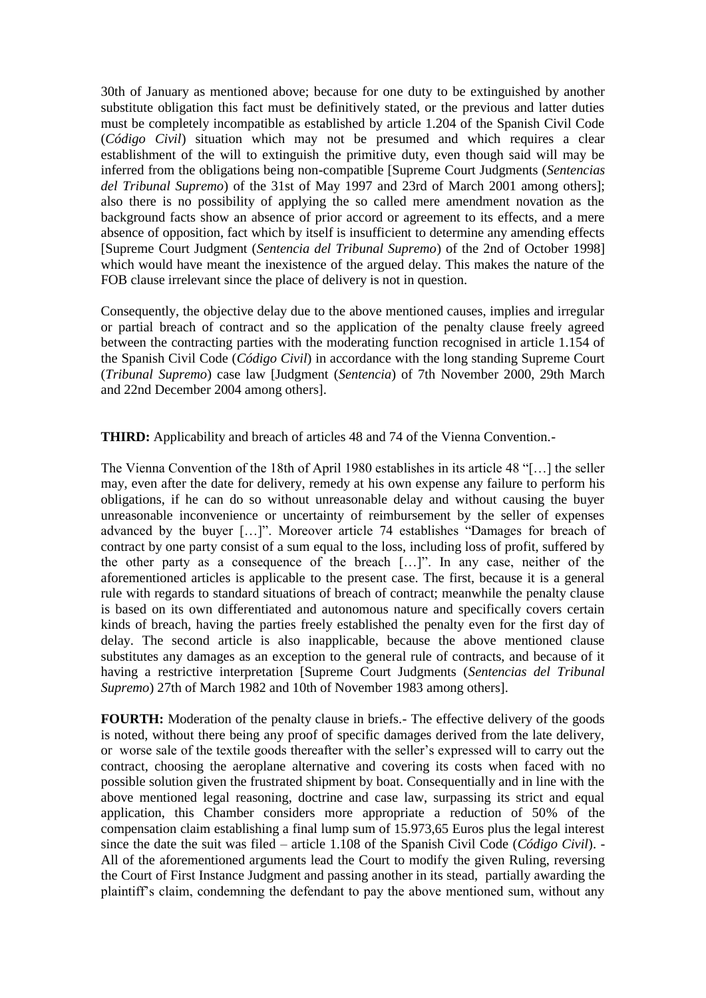30th of January as mentioned above; because for one duty to be extinguished by another substitute obligation this fact must be definitively stated, or the previous and latter duties must be completely incompatible as established by article 1.204 of the Spanish Civil Code (*Código Civil*) situation which may not be presumed and which requires a clear establishment of the will to extinguish the primitive duty, even though said will may be inferred from the obligations being non-compatible [Supreme Court Judgments (*Sentencias del Tribunal Supremo*) of the 31st of May 1997 and 23rd of March 2001 among others]; also there is no possibility of applying the so called mere amendment novation as the background facts show an absence of prior accord or agreement to its effects, and a mere absence of opposition, fact which by itself is insufficient to determine any amending effects [Supreme Court Judgment (*Sentencia del Tribunal Supremo*) of the 2nd of October 1998] which would have meant the inexistence of the argued delay. This makes the nature of the FOB clause irrelevant since the place of delivery is not in question.

Consequently, the objective delay due to the above mentioned causes, implies and irregular or partial breach of contract and so the application of the penalty clause freely agreed between the contracting parties with the moderating function recognised in article 1.154 of the Spanish Civil Code (*Código Civil*) in accordance with the long standing Supreme Court (*Tribunal Supremo*) case law [Judgment (*Sentencia*) of 7th November 2000, 29th March and 22nd December 2004 among others].

**THIRD:** Applicability and breach of articles 48 and 74 of the Vienna Convention.-

The Vienna Convention of the 18th of April 1980 establishes in its article 48 "[…] the seller may, even after the date for delivery, remedy at his own expense any failure to perform his obligations, if he can do so without unreasonable delay and without causing the buyer unreasonable inconvenience or uncertainty of reimbursement by the seller of expenses advanced by the buyer […]". Moreover article 74 establishes "Damages for breach of contract by one party consist of a sum equal to the loss, including loss of profit, suffered by the other party as a consequence of the breach […]". In any case, neither of the aforementioned articles is applicable to the present case. The first, because it is a general rule with regards to standard situations of breach of contract; meanwhile the penalty clause is based on its own differentiated and autonomous nature and specifically covers certain kinds of breach, having the parties freely established the penalty even for the first day of delay. The second article is also inapplicable, because the above mentioned clause substitutes any damages as an exception to the general rule of contracts, and because of it having a restrictive interpretation [Supreme Court Judgments (*Sentencias del Tribunal Supremo*) 27th of March 1982 and 10th of November 1983 among others].

**FOURTH:** Moderation of the penalty clause in briefs.- The effective delivery of the goods is noted, without there being any proof of specific damages derived from the late delivery, or worse sale of the textile goods thereafter with the seller's expressed will to carry out the contract, choosing the aeroplane alternative and covering its costs when faced with no possible solution given the frustrated shipment by boat. Consequentially and in line with the above mentioned legal reasoning, doctrine and case law, surpassing its strict and equal application, this Chamber considers more appropriate a reduction of 50% of the compensation claim establishing a final lump sum of 15.973,65 Euros plus the legal interest since the date the suit was filed – article 1.108 of the Spanish Civil Code (*Código Civil*). - All of the aforementioned arguments lead the Court to modify the given Ruling, reversing the Court of First Instance Judgment and passing another in its stead, partially awarding the plaintiff's claim, condemning the defendant to pay the above mentioned sum, without any